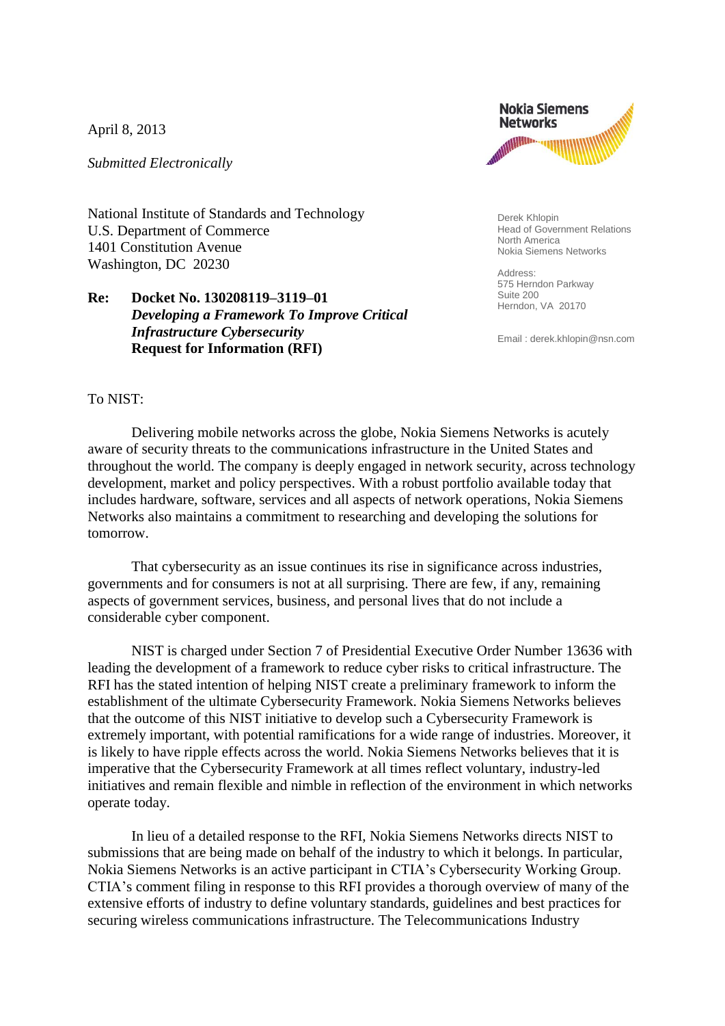April 8, 2013

*Submitted Electronically*

National Institute of Standards and Technology U.S. Department of Commerce 1401 Constitution Avenue Washington, DC 20230

## **Re: Docket No. 130208119–3119–01** *Developing a Framework To Improve Critical Infrastructure Cybersecurity* **Request for Information (RFI)**



Derek Khlopin Head of Government Relations North America Nokia Siemens Networks

Address: 575 Herndon Parkway Suite 200 Herndon, VA 20170

Email : derek.khlopin@nsn.com

## To NIST:

Delivering mobile networks across the globe, Nokia Siemens Networks is acutely aware of security threats to the communications infrastructure in the United States and throughout the world. The company is deeply engaged in network security, across technology development, market and policy perspectives. With a robust portfolio available today that includes hardware, software, services and all aspects of network operations, Nokia Siemens Networks also maintains a commitment to researching and developing the solutions for tomorrow.

That cybersecurity as an issue continues its rise in significance across industries, governments and for consumers is not at all surprising. There are few, if any, remaining aspects of government services, business, and personal lives that do not include a considerable cyber component.

NIST is charged under Section 7 of Presidential Executive Order Number 13636 with leading the development of a framework to reduce cyber risks to critical infrastructure. The RFI has the stated intention of helping NIST create a preliminary framework to inform the establishment of the ultimate Cybersecurity Framework. Nokia Siemens Networks believes that the outcome of this NIST initiative to develop such a Cybersecurity Framework is extremely important, with potential ramifications for a wide range of industries. Moreover, it is likely to have ripple effects across the world. Nokia Siemens Networks believes that it is imperative that the Cybersecurity Framework at all times reflect voluntary, industry-led initiatives and remain flexible and nimble in reflection of the environment in which networks operate today.

In lieu of a detailed response to the RFI, Nokia Siemens Networks directs NIST to submissions that are being made on behalf of the industry to which it belongs. In particular, Nokia Siemens Networks is an active participant in CTIA's Cybersecurity Working Group. CTIA's comment filing in response to this RFI provides a thorough overview of many of the extensive efforts of industry to define voluntary standards, guidelines and best practices for securing wireless communications infrastructure. The Telecommunications Industry